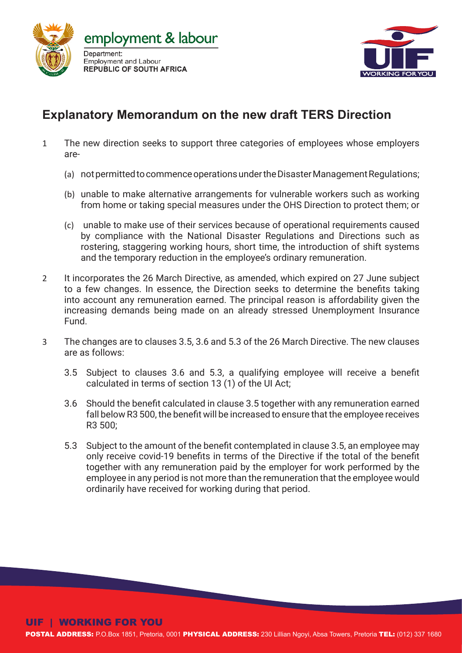



# **Explanatory Memorandum on the new draft TERS Direction**

- 1 The new direction seeks to support three categories of employees whose employers are-
	- (a) not permitted to commence operations under the Disaster Management Regulations;
	- (b) unable to make alternative arrangements for vulnerable workers such as working from home or taking special measures under the OHS Direction to protect them; or
	- (c) unable to make use of their services because of operational requirements caused by compliance with the National Disaster Regulations and Directions such as rostering, staggering working hours, short time, the introduction of shift systems and the temporary reduction in the employee's ordinary remuneration.
- 2 It incorporates the 26 March Directive, as amended, which expired on 27 June subject to a few changes. In essence, the Direction seeks to determine the benefits taking into account any remuneration earned. The principal reason is affordability given the increasing demands being made on an already stressed Unemployment Insurance Fund.
- 3 The changes are to clauses 3.5, 3.6 and 5.3 of the 26 March Directive. The new clauses are as follows:
	- 3.5 Subject to clauses 3.6 and 5.3, a qualifying employee will receive a benefit calculated in terms of section 13 (1) of the UI Act;
	- 3.6 Should the benefit calculated in clause 3.5 together with any remuneration earned fall below R3 500, the benefit will be increased to ensure that the employee receives R3 500;
	- 5.3 Subject to the amount of the benefit contemplated in clause 3.5, an employee may only receive covid-19 benefits in terms of the Directive if the total of the benefit together with any remuneration paid by the employer for work performed by the employee in any period is not more than the remuneration that the employee would ordinarily have received for working during that period.

#### UIF | WORKING FOR YOU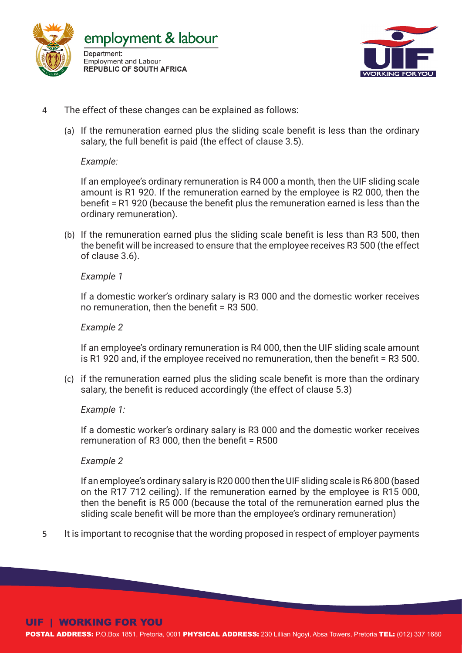



- 4 The effect of these changes can be explained as follows:
	- (a) If the remuneration earned plus the sliding scale benefit is less than the ordinary salary, the full benefit is paid (the effect of clause 3.5).

*Example:* 

If an employee's ordinary remuneration is R4 000 a month, then the UIF sliding scale amount is R1 920. If the remuneration earned by the employee is R2 000, then the benefit = R1 920 (because the benefit plus the remuneration earned is less than the ordinary remuneration).

(b) If the remuneration earned plus the sliding scale benefit is less than R3 500, then the benefit will be increased to ensure that the employee receives R3 500 (the effect of clause 3.6).

*Example 1* 

If a domestic worker's ordinary salary is R3 000 and the domestic worker receives no remuneration, then the benefit = R3 500.

*Example 2* 

If an employee's ordinary remuneration is R4 000, then the UIF sliding scale amount is R1 920 and, if the employee received no remuneration, then the benefit = R3 500.

(c) if the remuneration earned plus the sliding scale benefit is more than the ordinary salary, the benefit is reduced accordingly (the effect of clause 5.3)

*Example 1:* 

If a domestic worker's ordinary salary is R3 000 and the domestic worker receives remuneration of R3 000, then the benefit = R500

*Example 2*

If an employee's ordinary salary is R20 000 then the UIF sliding scale is R6 800 (based on the R17 712 ceiling). If the remuneration earned by the employee is R15 000, then the benefit is R5 000 (because the total of the remuneration earned plus the sliding scale benefit will be more than the employee's ordinary remuneration)

5 It is important to recognise that the wording proposed in respect of employer payments

#### UIF | WORKING FOR YOU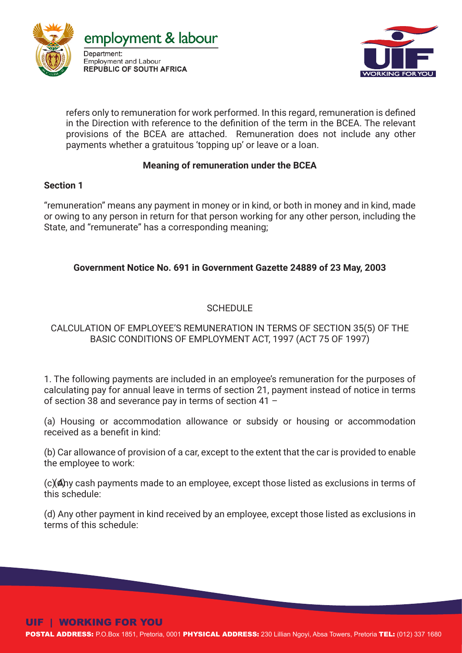



refers only to remuneration for work performed. In this regard, remuneration is defined in the Direction with reference to the definition of the term in the BCEA. The relevant provisions of the BCEA are attached. Remuneration does not include any other payments whether a gratuitous 'topping up' or leave or a loan.

#### **Meaning of remuneration under the BCEA**

#### **Section 1**

"remuneration" means any payment in money or in kind, or both in money and in kind, made or owing to any person in return for that person working for any other person, including the State, and "remunerate" has a corresponding meaning;

## **Government Notice No. 691 in Government Gazette 24889 of 23 May, 2003**

## SCHEDULE

## CALCULATION OF EMPLOYEE'S REMUNERATION IN TERMS OF SECTION 35(5) OF THE BASIC CONDITIONS OF EMPLOYMENT ACT, 1997 (ACT 75 OF 1997)

1. The following payments are included in an employee's remuneration for the purposes of calculating pay for annual leave in terms of section 21, payment instead of notice in terms of section 38 and severance pay in terms of section 41 –

(a) Housing or accommodation allowance or subsidy or housing or accommodation received as a benefit in kind:

(b) Car allowance of provision of a car, except to the extent that the car is provided to enable the employee to work:

 $(c)$  (d)  $\alpha$ y cash payments made to an employee, except those listed as exclusions in terms of this schedule:

(d) Any other payment in kind received by an employee, except those listed as exclusions in terms of this schedule:

## UIF | WORKING FOR YOU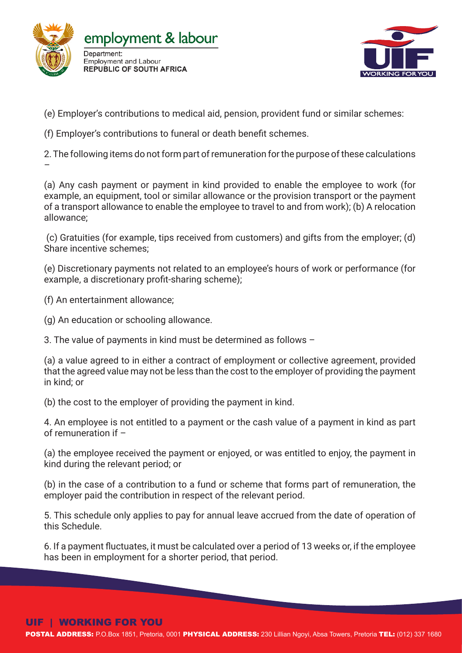



(e) Employer's contributions to medical aid, pension, provident fund or similar schemes:

(f) Employer's contributions to funeral or death benefit schemes.

2. The following items do not form part of remuneration for the purpose of these calculations

(a) Any cash payment or payment in kind provided to enable the employee to work (for example, an equipment, tool or similar allowance or the provision transport or the payment of a transport allowance to enable the employee to travel to and from work); (b) A relocation allowance;

 (c) Gratuities (for example, tips received from customers) and gifts from the employer; (d) Share incentive schemes;

(e) Discretionary payments not related to an employee's hours of work or performance (for example, a discretionary profit-sharing scheme);

(f) An entertainment allowance;

–

(g) An education or schooling allowance.

3. The value of payments in kind must be determined as follows –

(a) a value agreed to in either a contract of employment or collective agreement, provided that the agreed value may not be less than the cost to the employer of providing the payment in kind; or

(b) the cost to the employer of providing the payment in kind.

4. An employee is not entitled to a payment or the cash value of a payment in kind as part of remuneration if –

(a) the employee received the payment or enjoyed, or was entitled to enjoy, the payment in kind during the relevant period; or

(b) in the case of a contribution to a fund or scheme that forms part of remuneration, the employer paid the contribution in respect of the relevant period.

5. This schedule only applies to pay for annual leave accrued from the date of operation of this Schedule.

6. If a payment fluctuates, it must be calculated over a period of 13 weeks or, if the employee has been in employment for a shorter period, that period.